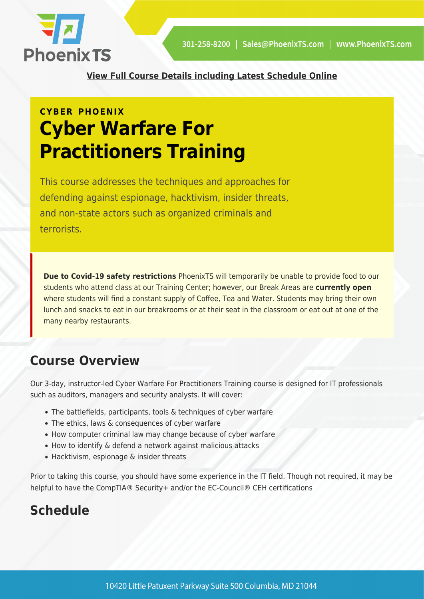

**[View Full Course Details including Latest Schedule Online](https://phoenixts.com/training-courses/cyber-warfare-for-practitioners/)**

# **CYBER PHOENIX Cyber Warfare For Practitioners Training**

This course addresses the techniques and approaches for defending against espionage, hacktivism, insider threats, and non-state actors such as organized criminals and terrorists.

**Due to Covid-19 safety restrictions** PhoenixTS will temporarily be unable to provide food to our students who attend class at our Training Center; however, our Break Areas are **currently open** where students will find a constant supply of Coffee, Tea and Water. Students may bring their own lunch and snacks to eat in our breakrooms or at their seat in the classroom or eat out at one of the many nearby restaurants.

## **Course Overview**

Our 3-day, instructor-led Cyber Warfare For Practitioners Training course is designed for IT professionals such as auditors, managers and security analysts. It will cover:

- The battlefields, participants, tools & techniques of cyber warfare
- The ethics, laws & consequences of cyber warfare
- How computer criminal law may change because of cyber warfare
- How to identify & defend a network against malicious attacks
- Hacktivism, espionage & insider threats

Prior to taking this course, you should have some experience in the IT field. Though not required, it may be helpful to have the [CompTIA® Security+ a](https://phoenixts.com/training-courses/comptia-security-plus-certification-training/)nd/or the [EC-Council® CEH](https://phoenixts.com/training-courses/ceh-certification-training-washington-dc/) certifications

# **Schedule**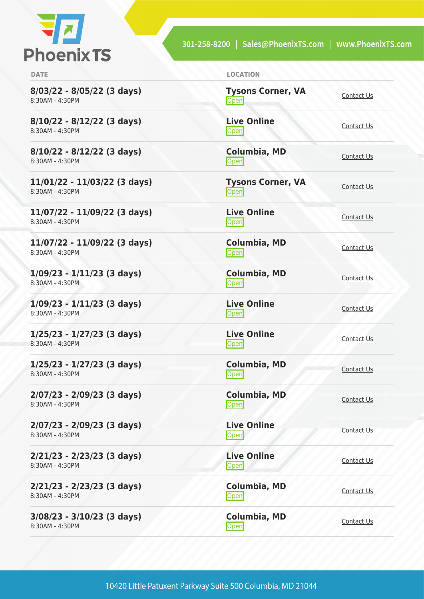

301-258-8200 | Sales@PhoenixTS.com | www.PhoenixTS.com

**8/03/22 - 8/05/22 (3 days)** 8:30AM - 4:30PM

**8/10/22 - 8/12/22 (3 days)** 8:30AM - 4:30PM

**8/10/22 - 8/12/22 (3 days)** 8:30AM - 4:30PM

**11/01/22 - 11/03/22 (3 days)** 8:30AM - 4:30PM

**11/07/22 - 11/09/22 (3 days)** 8:30AM - 4:30PM

**11/07/22 - 11/09/22 (3 days)** 8:30AM - 4:30PM

**1/09/23 - 1/11/23 (3 days)** 8:30AM - 4:30PM

**1/09/23 - 1/11/23 (3 days)** 8:30AM - 4:30PM

**1/25/23 - 1/27/23 (3 days)** 8:30AM - 4:30PM

**1/25/23 - 1/27/23 (3 days)** 8:30AM - 4:30PM

**2/07/23 - 2/09/23 (3 days)** 8:30AM - 4:30PM

**2/07/23 - 2/09/23 (3 days)** 8:30AM - 4:30PM

**2/21/23 - 2/23/23 (3 days)** 8:30AM - 4:30PM

**2/21/23 - 2/23/23 (3 days)** 8:30AM - 4:30PM

**3/08/23 - 3/10/23 (3 days)** 8:30AM - 4:30PM

| <b>DATE</b> | <b>LOCATION</b> |
|-------------|-----------------|
|             |                 |

| <b>Tysons Corner, VA</b><br>Open | Contact Us        |
|----------------------------------|-------------------|
| <b>Live Online</b><br>Open       | <b>Contact Us</b> |
| Columbia, MD<br>Open             | Contact Us        |
| <b>Tysons Corner, VA</b><br>Open | <b>Contact Us</b> |
| <b>Live Online</b><br>Open       | Contact Us        |
| <b>Columbia, MD</b><br>Open      | <b>Contact Us</b> |
| <b>Columbia, MD</b><br>Open      | <b>Contact Us</b> |
| <b>Live Online</b><br>Open       | <b>Contact Us</b> |
| <b>Live Online</b><br>Open       | Contact Us        |
| <b>Columbia, MD</b><br>Open      | Contact Us        |
| <b>Columbia, MD</b><br>Open      | Contact Us        |
| <b>Live Online</b><br>Open       | Contact Us        |
| <b>Live Online</b><br>Open       | Contact Us        |
| Columbia, MD<br>Open             | <b>Contact Us</b> |
| Columbia, MD<br>Open             | Contact Us        |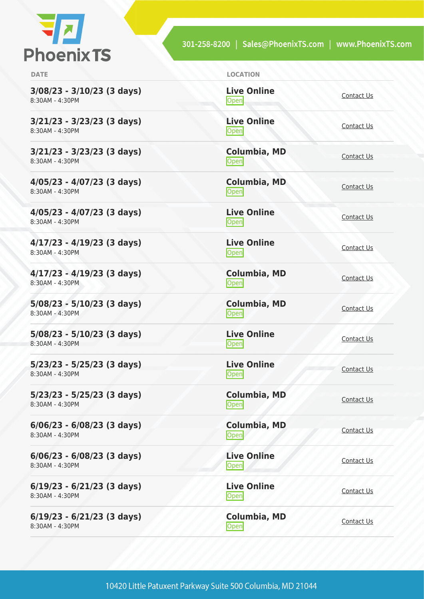

301-258-8200 | Sales@PhoenixTS.com | www.PhoenixTS.com

| <b>DATE</b>                                     | <b>LOCATION</b>                   |                   |
|-------------------------------------------------|-----------------------------------|-------------------|
| $3/08/23 - 3/10/23$ (3 days)<br>8:30AM - 4:30PM | <b>Live Online</b><br>Open        | Contact Us        |
| $3/21/23 - 3/23/23$ (3 days)<br>8:30AM - 4:30PM | <b>Live Online</b><br><b>Open</b> | Contact Us        |
| $3/21/23 - 3/23/23$ (3 days)<br>8:30AM - 4:30PM | Columbia, MD<br>Open              | Contact Us        |
| $4/05/23 - 4/07/23$ (3 days)<br>8:30AM - 4:30PM | <b>Columbia, MD</b><br>Open       | Contact Us        |
| $4/05/23 - 4/07/23$ (3 days)<br>8:30AM - 4:30PM | <b>Live Online</b><br><b>Open</b> | Contact Us        |
| $4/17/23 - 4/19/23$ (3 days)<br>8:30AM - 4:30PM | <b>Live Online</b><br><b>Open</b> | <b>Contact Us</b> |
| $4/17/23 - 4/19/23$ (3 days)<br>8:30AM - 4:30PM | Columbia, MD<br>Open              | Contact Us        |
| $5/08/23 - 5/10/23$ (3 days)<br>8:30AM - 4:30PM | Columbia, MD<br>Open              | Contact Us        |
| $5/08/23 - 5/10/23$ (3 days)<br>8:30AM - 4:30PM | <b>Live Online</b><br>Open        | <b>Contact Us</b> |
| $5/23/23 - 5/25/23$ (3 days)<br>8:30AM - 4:30PM | <b>Live Online</b><br><b>Open</b> | Contact Us        |
| $5/23/23 - 5/25/23$ (3 days)<br>8:30AM - 4:30PM | <b>Columbia, MD</b><br>Open       | Contact Us        |
| $6/06/23 - 6/08/23$ (3 days)<br>8:30AM - 4:30PM | Columbia, MD<br>Open              | Contact Us        |
| $6/06/23 - 6/08/23$ (3 days)<br>8:30AM - 4:30PM | <b>Live Online</b><br>Open        | Contact Us        |
| $6/19/23 - 6/21/23$ (3 days)<br>8:30AM - 4:30PM | <b>Live Online</b><br>Open        | <b>Contact Us</b> |
| $6/19/23 - 6/21/23$ (3 days)<br>8:30AM - 4:30PM | <b>Columbia, MD</b><br>Open       | Contact Us        |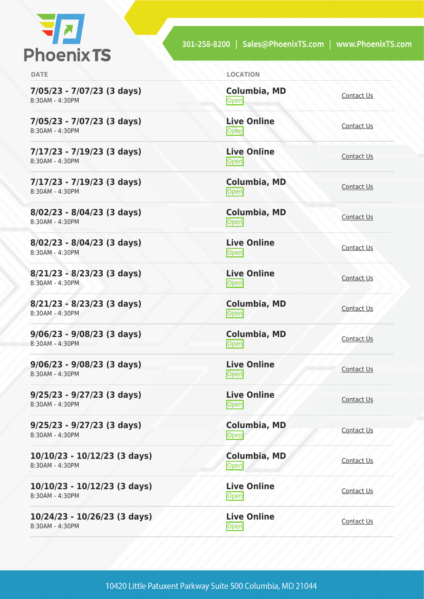

301-258-8200 | Sales@PhoenixTS.com | www.PhoenixTS.com

| × |  |  |
|---|--|--|
|   |  |  |

**9/06/23 - 9/08/23 (3 days)** 8:30AM - 4:30PM

**9/06/23 - 9/08/23 (3 days)** 8:30AM - 4:30PM

**9/25/23 - 9/27/23 (3 days)** 8:30AM - 4:30PM

**9/25/23 - 9/27/23 (3 days)** 8:30AM - 4:30PM

**10/10/23 - 10/12/23 (3 days)** 8:30AM - 4:30PM

**10/10/23 - 10/12/23 (3 days)** 8:30AM - 4:30PM

**10/24/23 - 10/26/23 (3 days)** 8:30AM - 4:30PM

| <b>DATE</b>                                   | <b>LOCATION</b>             |            |
|-----------------------------------------------|-----------------------------|------------|
| 7/05/23 - 7/07/23 (3 days)<br>8:30AM - 4:30PM | <b>Columbia, MD</b><br>Open | Contact Us |
| 7/05/23 - 7/07/23 (3 days)<br>8:30AM - 4:30PM | <b>Live Online</b><br>Open  | Contact Us |
| 7/17/23 - 7/19/23 (3 days)<br>8:30AM - 4:30PM | <b>Live Online</b><br>Open  | Contact Us |
| 7/17/23 - 7/19/23 (3 days)<br>8:30AM - 4:30PM | Columbia, MD<br>Open        | Contact Us |
| 8/02/23 - 8/04/23 (3 days)<br>8:30AM - 4:30PM | <b>Columbia, MD</b><br>Open | Contact Us |
| 8/02/23 - 8/04/23 (3 days)<br>8:30AM - 4:30PM | <b>Live Online</b><br>Open  | Contact Us |
| 8/21/23 - 8/23/23 (3 days)<br>8:30AM - 4:30PM | <b>Live Online</b><br>Open  | Contact Us |
| 8/21/23 - 8/23/23 (3 days)<br>8:30AM - 4:30PM | Columbia, MD<br>Open        | Contact Us |

**Columbia, MD** [Contact Us](https://phoenixts.com/schedule/more-info/?class=27524)<br>
Open

**Live Online [Contact Us](https://phoenixts.com/schedule/more-info/?class=27525)** 

**Live Online** <u>[Contact Us](https://phoenixts.com/schedule/more-info/?class=27526)</u>

**Columbia, MD**

**Live Online**

**Columbia, MD** Open [Contact Us](https://phoenixts.com/schedule/more-info/?class=27527)

**Live Online [Contact Us](https://phoenixts.com/schedule/more-info/?class=27529)** 

[Contact Us](https://phoenixts.com/schedule/more-info/?class=27528)<br>
Open

<u>Open</u> [Contact Us](https://phoenixts.com/schedule/more-info/?class=27530)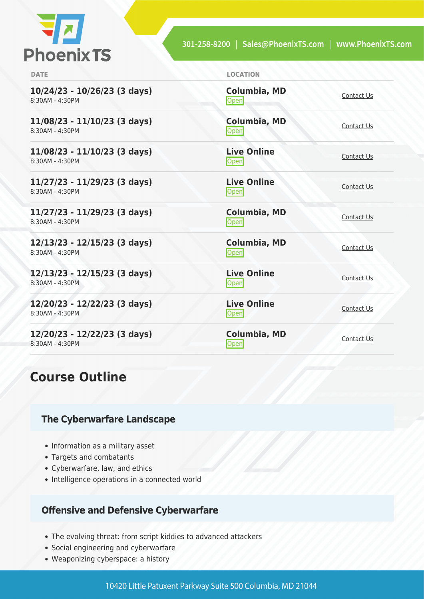

| <b>DATE</b>                                       | <b>LOCATION</b>                   |            |
|---------------------------------------------------|-----------------------------------|------------|
| $10/24/23 - 10/26/23$ (3 days)<br>8:30AM - 4:30PM | Columbia, MD<br>Open              | Contact Us |
| $11/08/23 - 11/10/23$ (3 days)<br>8:30AM - 4:30PM | <b>Columbia, MD</b><br>Open       | Contact Us |
| $11/08/23 - 11/10/23$ (3 days)<br>8:30AM - 4:30PM | <b>Live Online</b><br>Open        | Contact Us |
| 11/27/23 - 11/29/23 (3 days)<br>8:30AM - 4:30PM   | <b>Live Online</b><br>Open        | Contact Us |
| 11/27/23 - 11/29/23 (3 days)<br>8:30AM - 4:30PM   | <b>Columbia, MD</b><br>Open       | Contact Us |
| 12/13/23 - 12/15/23 (3 days)<br>8:30AM - 4:30PM   | <b>Columbia, MD</b><br>Open       | Contact Us |
| $12/13/23 - 12/15/23$ (3 days)<br>8:30AM - 4:30PM | <b>Live Online</b><br><b>Open</b> | Contact Us |
| 12/20/23 - 12/22/23 (3 days)<br>8:30AM - 4:30PM   | <b>Live Online</b><br><b>Open</b> | Contact Us |
| 12/20/23 - 12/22/23 (3 days)<br>8:30AM - 4:30PM   | <b>Columbia, MD</b><br> Open      | Contact Us |

## **Course Outline**

#### **The Cyberwarfare Landscape**

- Information as a military asset
- Targets and combatants
- Cyberwarfare, law, and ethics
- Intelligence operations in a connected world

#### **Offensive and Defensive Cyberwarfare**

- The evolving threat: from script kiddies to advanced attackers
- Social engineering and cyberwarfare
- Weaponizing cyberspace: a history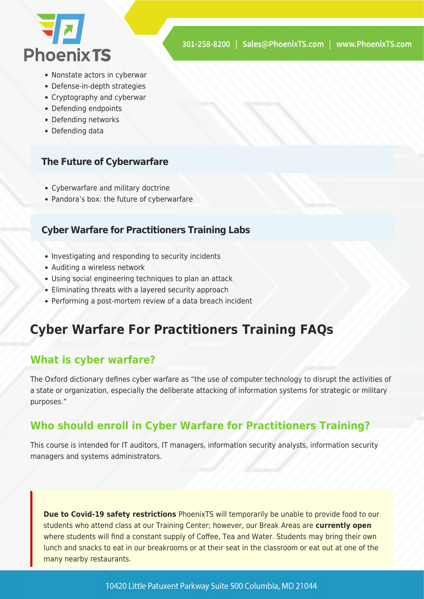

- Nonstate actors in cyberwar
- Defense-in-depth strategies
- Cryptography and cyberwar
- Defending endpoints
- Defending networks
- Defending data

#### **The Future of Cyberwarfare**

- Cyberwarfare and military doctrine
- Pandora's box: the future of cyberwarfare

#### **Cyber Warfare for Practitioners Training Labs**

- Investigating and responding to security incidents
- Auditing a wireless network
- Using social engineering techniques to plan an attack
- Eliminating threats with a layered security approach
- Performing a post-mortem review of a data breach incident

## **Cyber Warfare For Practitioners Training FAQs**

## **What is cyber warfare?**

The Oxford dictionary defines cyber warfare as "the use of computer technology to disrupt the activities of a state or organization, especially the deliberate attacking of information systems for strategic or military purposes."

### **Who should enroll in Cyber Warfare for Practitioners Training?**

This course is intended for IT auditors, IT managers, information security analysts, information security managers and systems administrators.

**Due to Covid-19 safety restrictions** PhoenixTS will temporarily be unable to provide food to our students who attend class at our Training Center; however, our Break Areas are **currently open** where students will find a constant supply of Coffee, Tea and Water. Students may bring their own lunch and snacks to eat in our breakrooms or at their seat in the classroom or eat out at one of the many nearby restaurants.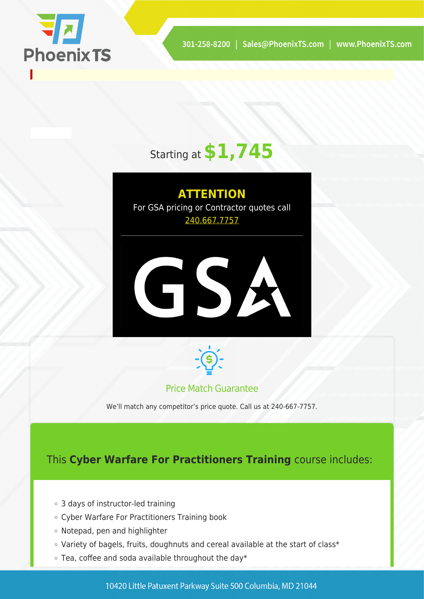

# Starting at **\$1,745**

**ATTENTION** For GSA pricing or Contractor quotes call [240.667.7757](#page--1-0)





#### Price Match Guarantee

We'll match any competitor's price quote. Call us at 240-667-7757.

## This **Cyber Warfare For Practitioners Training** course includes:

- 3 days of instructor-led training
- Cyber Warfare For Practitioners Training book
- Notepad, pen and highlighter
- Variety of bagels, fruits, doughnuts and cereal available at the start of class\*
- $\circ$  Tea, coffee and soda available throughout the day\*